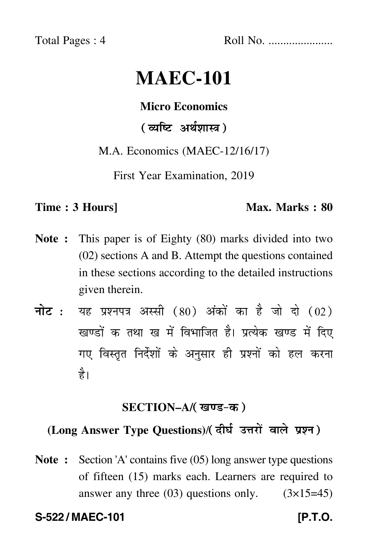Total Pages : 4 Roll No. ......................

# **MAEC-101**

#### **Micro Economics**

## ( व्यष्टि अर्थशास्त्र )

#### M.A. Economics (MAEC-12/16/17)

First Year Examination, 2019

#### **Time : 3 Hours]** Max. Marks : 80

- **Note :** This paper is of Eighty (80) marks divided into two (02) sections A and B. Attempt the questions contained in these sections according to the detailed instructions given therein.
- नोट : यह प्रश्नपत्र अस्सी (80) अंकों का है जो दो (02) खण्डों क तथा ख में विभाजित है। प्रत्येक खण्ड में दिए गए विस्तृत निर्देशों के अनुसार ही प्रश्नों को हल करन<mark>ा</mark> है।

#### **SECTION–A/**

# (Long Answer Type Questions)/( दीर्घ उत्तरों वाले प्रश्न )

**Note :** Section 'A' contains five (05) long answer type questions of fifteen (15) marks each. Learners are required to answer any three  $(03)$  questions only.  $(3\times15=45)$ 

**S-522 / MAEC-101 [P.T.O.**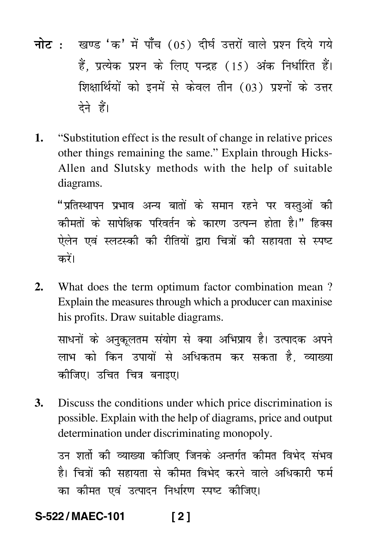- <mark>नोट</mark> : खण्ड 'क' में पाँच (05) दीर्घ उत्तरों वाले प्रश्न दिये गये हैं, प्रत्येक प्रश्न के लिए पन्द्रह (15) अंक निर्धारित हैं। शिक्षार्थियों को इनमें से केवल तीन (03) प्रश्नों के उत्तर देने हैं।
- **1.** "Substitution effect is the result of change in relative prices other things remaining the same." Explain through Hicks-Allen and Slutsky methods with the help of suitable diagrams.

"प्रतिस्थापन प्रभाव अन्य बातों के समान रहने पर वस्तुओं की कीमतों के सापेक्षिक परिवर्तन के कारण उत्पन्न होता है।" हिक्स ऐलेन एवं स्लटस्की की रीतियों द्वारा चित्रों की सहायता से स्पष्ट करें।

**2.** What does the term optimum factor combination mean ? Explain the measures through which a producer can maxinise his profits. Draw suitable diagrams.

साधनों के अनुकूलतम संयोग से क्या अभिप्राय है। उत्पादक अपने लाभ को किन उपायों से अधिकतम कर सकता है, व्याख्या कीजिए। उचित चित्र बन<mark>ा</mark>इए।

**3.** Discuss the conditions under which price discrimination is possible. Explain with the help of diagrams, price and output determination under discriminating monopoly.

उन शर्तो की व्याख्या कीजिए जिनके अन्तर्गत कीमत विभेद संभव है। चित्रों की सहायता से कीमत विभेद करने वाले अधिकारी फर्म का कीमत एवं उत्पादन निर्धारण स्पष्ट कीजिए।

# **S-522 / MAEC-101 [ 2 ]**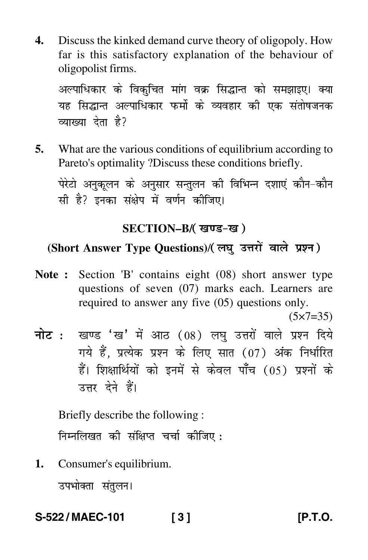**4.** Discuss the kinked demand curve theory of oligopoly. How far is this satisfactory explanation of the behaviour of oligopolist firms.

अल्पाधिकार के विकुचित मांग वक्र सिद्धान्त को समझाइए। क्या यह सिद्धान्त अल्पाधिकार फर्मो के व्यवहार की एक संतोषजनक व्याख्या देता है?

**5.** What are the various conditions of equilibrium according to Pareto's optimality ?Discuss these conditions briefly.

पेरेटो अनुकूलन के अनुसार सन्तुलन की विभिन्न दशाएं कौन–कौन सी है? इनका संक्षेप में वर्णन कीजिए।

#### **SECTION–B/**

# (Short Answer Type Questions)/(लघु उत्तरों वाले प्रश्न)

**Note :** Section 'B' contains eight (08) short answer type questions of seven (07) marks each. Learners are required to answer any five (05) questions only.

 $(5 \times 7 = 35)$ 

<mark>नोट</mark> : खण्ड 'ख' में आठ (08) लघु उत्तरों वाले प्रश्न दिये गये हैं, प्रत्येक प्रश्न के लिए सात (07) अंक निर्धारित हैं। शिक्षार्थियों को इनमें से केवल पाँच (05) प्रश्नों के उत्तर देने हैं।

Briefly describe the following :

निम्नलिखत की संक्षिप्त चर्चा क<mark>ी</mark>जिए :

**1.** Consumer's equilibrium.

उपभोक्ता संतुलन।

**S-522 / MAEC-101 [ 3 ] [P.T.O.**